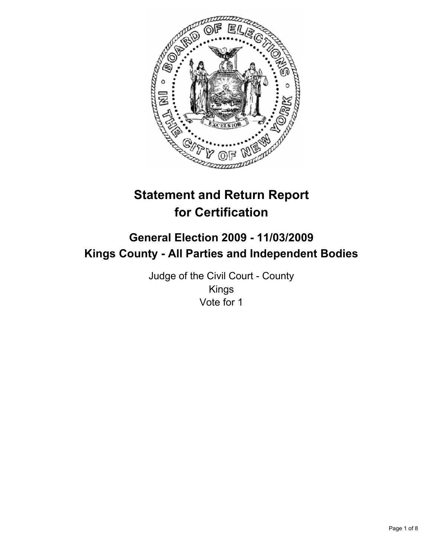

# **Statement and Return Report for Certification**

# **General Election 2009 - 11/03/2009 Kings County - All Parties and Independent Bodies**

Judge of the Civil Court - County Kings Vote for 1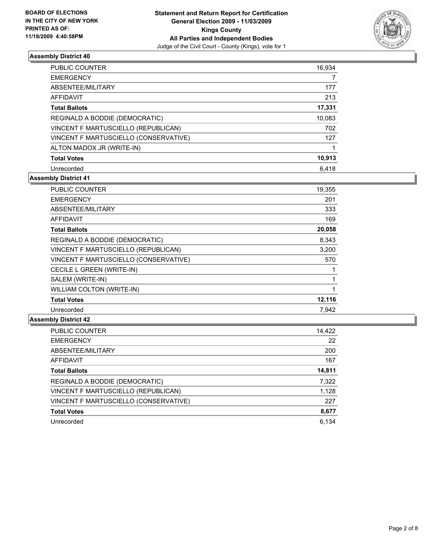

| <b>PUBLIC COUNTER</b>                 | 16,934 |
|---------------------------------------|--------|
| <b>EMERGENCY</b>                      |        |
| ABSENTEE/MILITARY                     | 177    |
| AFFIDAVIT                             | 213    |
| <b>Total Ballots</b>                  | 17,331 |
| REGINALD A BODDIE (DEMOCRATIC)        | 10,083 |
| VINCENT F MARTUSCIELLO (REPUBLICAN)   | 702    |
| VINCENT F MARTUSCIELLO (CONSERVATIVE) | 127    |
| ALTON MADOX JR (WRITE-IN)             |        |
| <b>Total Votes</b>                    | 10,913 |
| Unrecorded                            | 6.418  |

# **Assembly District 41**

| <b>PUBLIC COUNTER</b>                 | 19,355 |
|---------------------------------------|--------|
| <b>EMERGENCY</b>                      | 201    |
| ABSENTEE/MILITARY                     | 333    |
| <b>AFFIDAVIT</b>                      | 169    |
| <b>Total Ballots</b>                  | 20,058 |
| REGINALD A BODDIE (DEMOCRATIC)        | 8,343  |
| VINCENT F MARTUSCIELLO (REPUBLICAN)   | 3,200  |
| VINCENT F MARTUSCIELLO (CONSERVATIVE) | 570    |
| CECILE L GREEN (WRITE-IN)             |        |
| SALEM (WRITE-IN)                      | 1      |
| <b>WILLIAM COLTON (WRITE-IN)</b>      | 1      |
| <b>Total Votes</b>                    | 12,116 |
| Unrecorded                            | 7.942  |

| PUBLIC COUNTER                        | 14,422 |
|---------------------------------------|--------|
| <b>EMERGENCY</b>                      | 22     |
| ABSENTEE/MILITARY                     | 200    |
| AFFIDAVIT                             | 167    |
| <b>Total Ballots</b>                  | 14,811 |
| REGINALD A BODDIE (DEMOCRATIC)        | 7,322  |
| VINCENT F MARTUSCIELLO (REPUBLICAN)   | 1,128  |
| VINCENT F MARTUSCIELLO (CONSERVATIVE) | 227    |
| <b>Total Votes</b>                    | 8,677  |
| Unrecorded                            | 6.134  |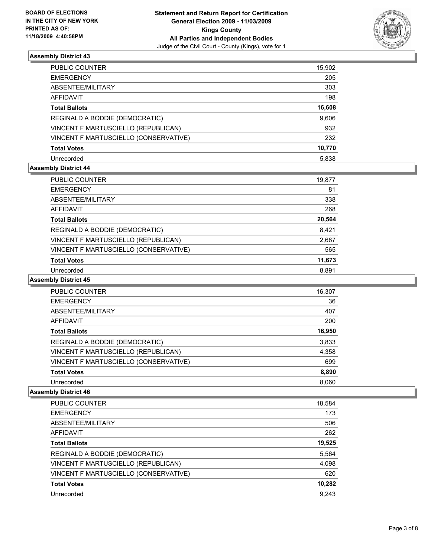

| PUBLIC COUNTER                        | 15,902 |
|---------------------------------------|--------|
| EMERGENCY                             | 205    |
| ABSENTEE/MILITARY                     | 303    |
| AFFIDAVIT                             | 198    |
| <b>Total Ballots</b>                  | 16,608 |
| REGINALD A BODDIE (DEMOCRATIC)        | 9,606  |
| VINCENT F MARTUSCIELLO (REPUBLICAN)   | 932    |
| VINCENT F MARTUSCIELLO (CONSERVATIVE) | 232    |
| <b>Total Votes</b>                    | 10,770 |
| Unrecorded                            | 5,838  |

# **Assembly District 44**

| <b>PUBLIC COUNTER</b>                 | 19,877 |
|---------------------------------------|--------|
| <b>EMERGENCY</b>                      | 81     |
| ABSENTEE/MILITARY                     | 338    |
| AFFIDAVIT                             | 268    |
| <b>Total Ballots</b>                  | 20,564 |
| REGINALD A BODDIE (DEMOCRATIC)        | 8,421  |
| VINCENT F MARTUSCIELLO (REPUBLICAN)   | 2,687  |
| VINCENT F MARTUSCIELLO (CONSERVATIVE) | 565    |
| <b>Total Votes</b>                    | 11,673 |
| Unrecorded                            | 8.891  |

## **Assembly District 45**

| <b>PUBLIC COUNTER</b>                 | 16,307 |
|---------------------------------------|--------|
| <b>EMERGENCY</b>                      | 36     |
| ABSENTEE/MILITARY                     | 407    |
| <b>AFFIDAVIT</b>                      | 200    |
| <b>Total Ballots</b>                  | 16,950 |
| REGINALD A BODDIE (DEMOCRATIC)        | 3,833  |
| VINCENT F MARTUSCIELLO (REPUBLICAN)   | 4,358  |
| VINCENT F MARTUSCIELLO (CONSERVATIVE) | 699    |
| <b>Total Votes</b>                    | 8,890  |
| Unrecorded                            | 8,060  |

| <b>PUBLIC COUNTER</b>                 | 18,584 |
|---------------------------------------|--------|
| <b>EMERGENCY</b>                      | 173    |
| ABSENTEE/MILITARY                     | 506    |
| AFFIDAVIT                             | 262    |
| <b>Total Ballots</b>                  | 19,525 |
| REGINALD A BODDIE (DEMOCRATIC)        | 5,564  |
| VINCENT F MARTUSCIELLO (REPUBLICAN)   | 4,098  |
| VINCENT F MARTUSCIELLO (CONSERVATIVE) | 620    |
| <b>Total Votes</b>                    | 10,282 |
| Unrecorded                            | 9,243  |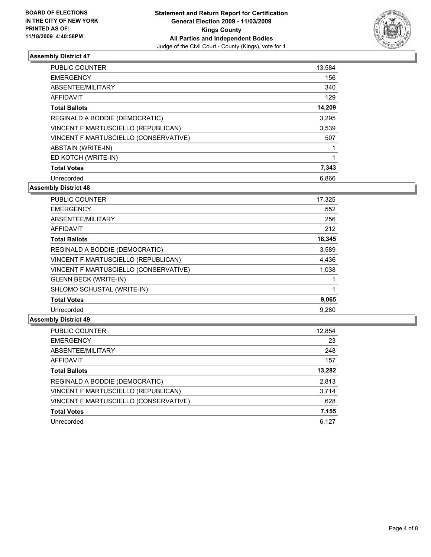

| <b>PUBLIC COUNTER</b>                 | 13,584 |
|---------------------------------------|--------|
| <b>EMERGENCY</b>                      | 156    |
| ABSENTEE/MILITARY                     | 340    |
| <b>AFFIDAVIT</b>                      | 129    |
| <b>Total Ballots</b>                  | 14,209 |
| REGINALD A BODDIE (DEMOCRATIC)        | 3,295  |
| VINCENT F MARTUSCIELLO (REPUBLICAN)   | 3,539  |
| VINCENT F MARTUSCIELLO (CONSERVATIVE) | 507    |
| <b>ABSTAIN (WRITE-IN)</b>             |        |
| ED KOTCH (WRITE-IN)                   | 1      |
| <b>Total Votes</b>                    | 7,343  |
| Unrecorded                            | 6,866  |

## **Assembly District 48**

| <b>PUBLIC COUNTER</b>                 | 17,325 |
|---------------------------------------|--------|
| <b>EMERGENCY</b>                      | 552    |
| ABSENTEE/MILITARY                     | 256    |
| <b>AFFIDAVIT</b>                      | 212    |
| <b>Total Ballots</b>                  | 18,345 |
| REGINALD A BODDIE (DEMOCRATIC)        | 3,589  |
| VINCENT F MARTUSCIELLO (REPUBLICAN)   | 4,436  |
| VINCENT F MARTUSCIELLO (CONSERVATIVE) | 1,038  |
| <b>GLENN BECK (WRITE-IN)</b>          |        |
| SHLOMO SCHUSTAL (WRITE-IN)            |        |
| <b>Total Votes</b>                    | 9,065  |
| Unrecorded                            | 9.280  |

| PUBLIC COUNTER                        | 12,854 |
|---------------------------------------|--------|
| <b>EMERGENCY</b>                      | 23     |
| ABSENTEE/MILITARY                     | 248    |
| AFFIDAVIT                             | 157    |
| <b>Total Ballots</b>                  | 13,282 |
| REGINALD A BODDIE (DEMOCRATIC)        | 2,813  |
| VINCENT F MARTUSCIELLO (REPUBLICAN)   | 3,714  |
| VINCENT F MARTUSCIELLO (CONSERVATIVE) | 628    |
| <b>Total Votes</b>                    | 7,155  |
| Unrecorded                            | 6.127  |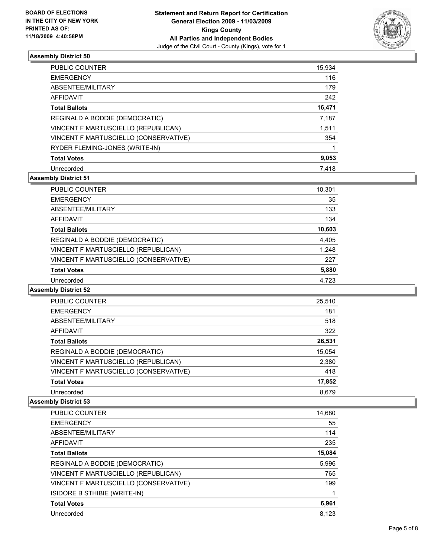

| <b>PUBLIC COUNTER</b>                 | 15,934 |
|---------------------------------------|--------|
| <b>EMERGENCY</b>                      | 116    |
| ABSENTEE/MILITARY                     | 179    |
| AFFIDAVIT                             | 242    |
| <b>Total Ballots</b>                  | 16,471 |
| REGINALD A BODDIE (DEMOCRATIC)        | 7,187  |
| VINCENT F MARTUSCIELLO (REPUBLICAN)   | 1,511  |
| VINCENT F MARTUSCIELLO (CONSERVATIVE) | 354    |
| RYDER FLEMING-JONES (WRITE-IN)        |        |
| <b>Total Votes</b>                    | 9,053  |
| Unrecorded                            | 7.418  |

# **Assembly District 51**

| PUBLIC COUNTER                        | 10,301 |
|---------------------------------------|--------|
| <b>EMERGENCY</b>                      | 35     |
| ABSENTEE/MILITARY                     | 133    |
| <b>AFFIDAVIT</b>                      | 134    |
| <b>Total Ballots</b>                  | 10,603 |
| REGINALD A BODDIE (DEMOCRATIC)        | 4,405  |
| VINCENT F MARTUSCIELLO (REPUBLICAN)   | 1,248  |
| VINCENT F MARTUSCIELLO (CONSERVATIVE) | 227    |
| <b>Total Votes</b>                    | 5,880  |
| Unrecorded                            | 4,723  |
|                                       |        |

# **Assembly District 52**

| PUBLIC COUNTER                        | 25,510 |
|---------------------------------------|--------|
| <b>EMERGENCY</b>                      | 181    |
| ABSENTEE/MILITARY                     | 518    |
| AFFIDAVIT                             | 322    |
| <b>Total Ballots</b>                  | 26,531 |
| REGINALD A BODDIE (DEMOCRATIC)        | 15,054 |
| VINCENT F MARTUSCIELLO (REPUBLICAN)   | 2,380  |
| VINCENT F MARTUSCIELLO (CONSERVATIVE) | 418    |
| <b>Total Votes</b>                    | 17,852 |
| Unrecorded                            | 8,679  |

| <b>PUBLIC COUNTER</b>                 | 14,680 |
|---------------------------------------|--------|
| <b>EMERGENCY</b>                      | 55     |
| ABSENTEE/MILITARY                     | 114    |
| <b>AFFIDAVIT</b>                      | 235    |
| <b>Total Ballots</b>                  | 15,084 |
| REGINALD A BODDIE (DEMOCRATIC)        | 5,996  |
| VINCENT F MARTUSCIELLO (REPUBLICAN)   | 765    |
| VINCENT F MARTUSCIELLO (CONSERVATIVE) | 199    |
| ISIDORE B STHIBIE (WRITE-IN)          | 1      |
| <b>Total Votes</b>                    | 6,961  |
| Unrecorded                            | 8.123  |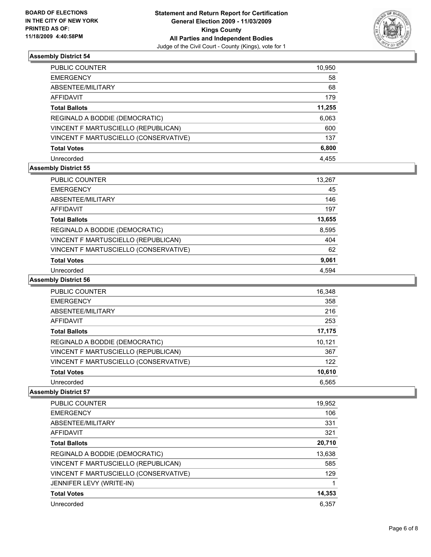

| PUBLIC COUNTER                        | 10,950 |
|---------------------------------------|--------|
| EMERGENCY                             | 58     |
| ABSENTEE/MILITARY                     | 68     |
| AFFIDAVIT                             | 179    |
| Total Ballots                         | 11,255 |
| REGINALD A BODDIE (DEMOCRATIC)        | 6,063  |
| VINCENT F MARTUSCIELLO (REPUBLICAN)   | 600    |
| VINCENT F MARTUSCIELLO (CONSERVATIVE) | 137    |
| <b>Total Votes</b>                    | 6,800  |
| Unrecorded                            | 4.455  |

# **Assembly District 55**

| PUBLIC COUNTER                        | 13,267 |
|---------------------------------------|--------|
| <b>EMERGENCY</b>                      | 45     |
| ABSENTEE/MILITARY                     | 146    |
| <b>AFFIDAVIT</b>                      | 197    |
| <b>Total Ballots</b>                  | 13,655 |
| REGINALD A BODDIE (DEMOCRATIC)        | 8,595  |
| VINCENT F MARTUSCIELLO (REPUBLICAN)   | 404    |
| VINCENT F MARTUSCIELLO (CONSERVATIVE) | 62     |
| <b>Total Votes</b>                    | 9,061  |
| Unrecorded                            | 4.594  |

## **Assembly District 56**

| PUBLIC COUNTER                        | 16,348 |
|---------------------------------------|--------|
| <b>EMERGENCY</b>                      | 358    |
| ABSENTEE/MILITARY                     | 216    |
| <b>AFFIDAVIT</b>                      | 253    |
| <b>Total Ballots</b>                  | 17,175 |
| REGINALD A BODDIE (DEMOCRATIC)        | 10,121 |
| VINCENT F MARTUSCIELLO (REPUBLICAN)   | 367    |
| VINCENT F MARTUSCIELLO (CONSERVATIVE) | 122    |
| <b>Total Votes</b>                    | 10,610 |
| Unrecorded                            | 6,565  |

| <b>PUBLIC COUNTER</b>                 | 19,952 |
|---------------------------------------|--------|
| <b>EMERGENCY</b>                      | 106    |
| ABSENTEE/MILITARY                     | 331    |
| <b>AFFIDAVIT</b>                      | 321    |
| <b>Total Ballots</b>                  | 20,710 |
| REGINALD A BODDIE (DEMOCRATIC)        | 13,638 |
| VINCENT F MARTUSCIELLO (REPUBLICAN)   | 585    |
| VINCENT F MARTUSCIELLO (CONSERVATIVE) | 129    |
| JENNIFER LEVY (WRITE-IN)              | 1      |
| <b>Total Votes</b>                    | 14,353 |
| Unrecorded                            | 6.357  |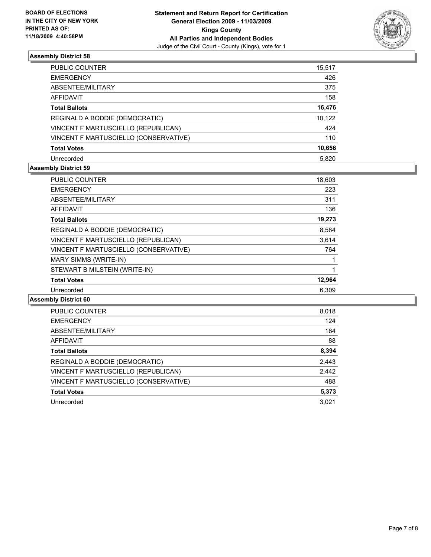

| PUBLIC COUNTER                        | 15,517 |
|---------------------------------------|--------|
| <b>EMERGENCY</b>                      | 426    |
| ABSENTEE/MILITARY                     | 375    |
| <b>AFFIDAVIT</b>                      | 158    |
| <b>Total Ballots</b>                  | 16,476 |
| REGINALD A BODDIE (DEMOCRATIC)        | 10,122 |
| VINCENT F MARTUSCIELLO (REPUBLICAN)   | 424    |
| VINCENT F MARTUSCIELLO (CONSERVATIVE) | 110    |
| <b>Total Votes</b>                    | 10,656 |
| Unrecorded                            | 5.820  |

# **Assembly District 59**

| PUBLIC COUNTER                        | 18,603 |
|---------------------------------------|--------|
| <b>EMERGENCY</b>                      | 223    |
| ABSENTEE/MILITARY                     | 311    |
| <b>AFFIDAVIT</b>                      | 136    |
| <b>Total Ballots</b>                  | 19,273 |
| REGINALD A BODDIE (DEMOCRATIC)        | 8,584  |
| VINCENT F MARTUSCIELLO (REPUBLICAN)   | 3,614  |
| VINCENT F MARTUSCIELLO (CONSERVATIVE) | 764    |
| <b>MARY SIMMS (WRITE-IN)</b>          | 1      |
| STEWART B MILSTEIN (WRITE-IN)         | 1      |
| <b>Total Votes</b>                    | 12,964 |
| Unrecorded                            | 6,309  |
|                                       |        |

| PUBLIC COUNTER                        | 8,018 |
|---------------------------------------|-------|
| <b>EMERGENCY</b>                      | 124   |
| ABSENTEE/MILITARY                     | 164   |
| AFFIDAVIT                             | 88    |
| <b>Total Ballots</b>                  | 8,394 |
| REGINALD A BODDIE (DEMOCRATIC)        | 2,443 |
| VINCENT F MARTUSCIELLO (REPUBLICAN)   | 2,442 |
| VINCENT F MARTUSCIELLO (CONSERVATIVE) | 488   |
| <b>Total Votes</b>                    | 5,373 |
| Unrecorded                            | 3.021 |